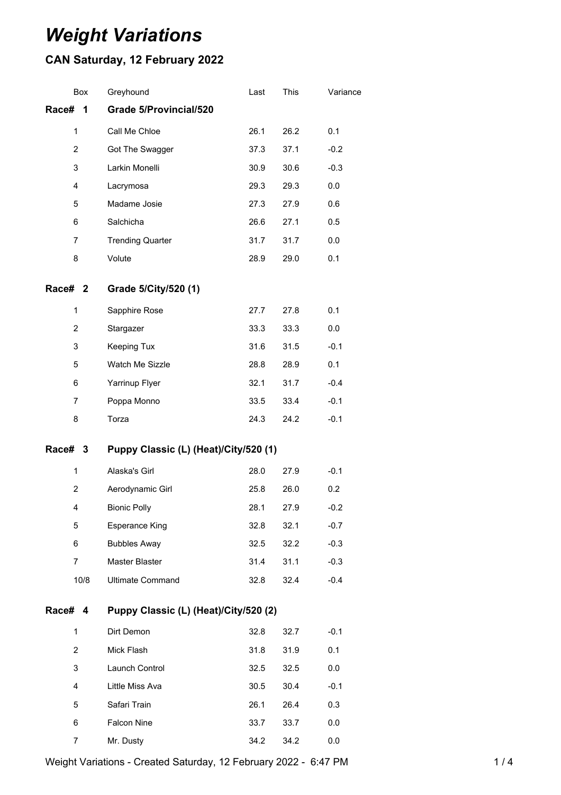# *Weight Variations*

## **CAN Saturday, 12 February 2022**

| Box            | Greyhound                             | Last | This | Variance |
|----------------|---------------------------------------|------|------|----------|
| Race#<br>1     | <b>Grade 5/Provincial/520</b>         |      |      |          |
| $\mathbf 1$    | Call Me Chloe                         | 26.1 | 26.2 | 0.1      |
| $\overline{2}$ | Got The Swagger                       | 37.3 | 37.1 | $-0.2$   |
| 3              | Larkin Monelli                        | 30.9 | 30.6 | $-0.3$   |
| 4              | Lacrymosa                             | 29.3 | 29.3 | 0.0      |
| 5              | Madame Josie                          | 27.3 | 27.9 | 0.6      |
| 6              | Salchicha                             | 26.6 | 27.1 | 0.5      |
| 7              | <b>Trending Quarter</b>               | 31.7 | 31.7 | 0.0      |
| 8              | Volute                                | 28.9 | 29.0 | 0.1      |
| Race# 2        | Grade 5/City/520 (1)                  |      |      |          |
| 1              | Sapphire Rose                         | 27.7 | 27.8 | 0.1      |
| 2              | Stargazer                             | 33.3 | 33.3 | 0.0      |
| 3              | Keeping Tux                           | 31.6 | 31.5 | $-0.1$   |
| 5              | Watch Me Sizzle                       | 28.8 | 28.9 | 0.1      |
| 6              | Yarrinup Flyer                        | 32.1 | 31.7 | $-0.4$   |
| 7              | Poppa Monno                           | 33.5 | 33.4 | $-0.1$   |
| 8              | Torza                                 | 24.3 | 24.2 | $-0.1$   |
| Race# 3        | Puppy Classic (L) (Heat)/City/520 (1) |      |      |          |
| $\mathbf 1$    | Alaska's Girl                         | 28.0 | 27.9 | $-0.1$   |
| 2              | Aerodynamic Girl                      | 25.8 | 26.0 | 0.2      |
| 4              | <b>Bionic Polly</b>                   | 28.1 | 27.9 | $-0.2$   |
| 5              | <b>Esperance King</b>                 | 32.8 | 32.1 | $-0.7$   |
| 6              | <b>Bubbles Away</b>                   | 32.5 | 32.2 | $-0.3$   |
| $\overline{7}$ | Master Blaster                        | 31.4 | 31.1 | $-0.3$   |
| 10/8           | <b>Ultimate Command</b>               | 32.8 | 32.4 | $-0.4$   |
| Race# 4        | Puppy Classic (L) (Heat)/City/520 (2) |      |      |          |
| 1              | Dirt Demon                            | 32.8 | 32.7 | $-0.1$   |
| $\overline{2}$ | Mick Flash                            | 31.8 | 31.9 | 0.1      |
| 3              | Launch Control                        | 32.5 | 32.5 | 0.0      |
| 4              | Little Miss Ava                       | 30.5 | 30.4 | $-0.1$   |
| 5              | Safari Train                          | 26.1 | 26.4 | 0.3      |
| 6              | Falcon Nine                           | 33.7 | 33.7 | 0.0      |
| 7              | Mr. Dusty                             | 34.2 | 34.2 | 0.0      |
|                |                                       |      |      |          |

Weight Variations - Created Saturday, 12 February 2022 - 6:47 PM 14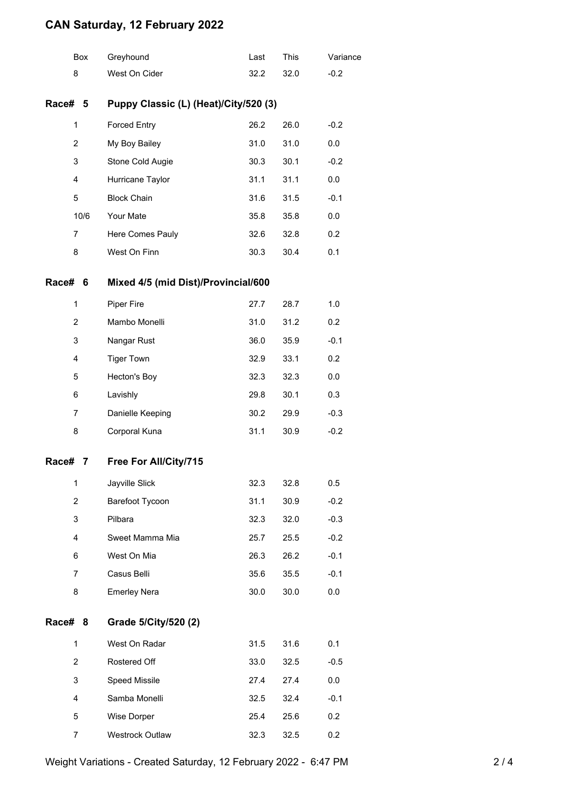## **CAN Saturday, 12 February 2022**

|                | Box            | Greyhound                             | Last | This | Variance |
|----------------|----------------|---------------------------------------|------|------|----------|
| 8              |                | West On Cider                         | 32.2 | 32.0 | $-0.2$   |
| Race# 5        |                | Puppy Classic (L) (Heat)/City/520 (3) |      |      |          |
| $\mathbf{1}$   |                | <b>Forced Entry</b>                   | 26.2 | 26.0 | $-0.2$   |
| $\overline{c}$ |                | My Boy Bailey                         | 31.0 | 31.0 | 0.0      |
| 3              |                | Stone Cold Augie                      | 30.3 | 30.1 | $-0.2$   |
| 4              |                | Hurricane Taylor                      | 31.1 | 31.1 | 0.0      |
| 5              |                | <b>Block Chain</b>                    | 31.6 | 31.5 | $-0.1$   |
|                | 10/6           | Your Mate                             | 35.8 | 35.8 | 0.0      |
| 7              |                | Here Comes Pauly                      | 32.6 | 32.8 | 0.2      |
| 8              |                | West On Finn                          | 30.3 | 30.4 | 0.1      |
| Race#          | 6              | Mixed 4/5 (mid Dist)/Provincial/600   |      |      |          |
| $\mathbf{1}$   |                | Piper Fire                            | 27.7 | 28.7 | 1.0      |
|                | $\overline{2}$ | Mambo Monelli                         | 31.0 | 31.2 | 0.2      |
| 3              |                | Nangar Rust                           | 36.0 | 35.9 | $-0.1$   |
| 4              |                | <b>Tiger Town</b>                     | 32.9 | 33.1 | 0.2      |
| 5              |                | Hecton's Boy                          | 32.3 | 32.3 | 0.0      |
| 6              |                | Lavishly                              | 29.8 | 30.1 | 0.3      |
| 7              |                | Danielle Keeping                      | 30.2 | 29.9 | $-0.3$   |
| 8              |                | Corporal Kuna                         | 31.1 | 30.9 | $-0.2$   |
| Race#          | 7              | Free For All/City/715                 |      |      |          |
| 1              |                | Jayville Slick                        | 32.3 | 32.8 | 0.5      |
| 2              |                | Barefoot Tycoon                       | 31.1 | 30.9 | $-0.2$   |
|                | 3              | Pilbara                               | 32.3 | 32.0 | $-0.3$   |
| 4              |                | Sweet Mamma Mia                       | 25.7 | 25.5 | $-0.2$   |
| 6              |                | West On Mia                           | 26.3 | 26.2 | $-0.1$   |
| 7              |                | Casus Belli                           | 35.6 | 35.5 | $-0.1$   |
| 8              |                | <b>Emerley Nera</b>                   | 30.0 | 30.0 | 0.0      |
| Race#          | 8              | Grade 5/City/520 (2)                  |      |      |          |
| $\mathbf{1}$   |                | West On Radar                         | 31.5 | 31.6 | 0.1      |
|                | $\overline{2}$ | Rostered Off                          | 33.0 | 32.5 | $-0.5$   |
| 3              |                | Speed Missile                         | 27.4 | 27.4 | 0.0      |
| 4              |                | Samba Monelli                         | 32.5 | 32.4 | $-0.1$   |
| 5              |                | Wise Dorper                           | 25.4 | 25.6 | 0.2      |
|                | 7              | Westrock Outlaw                       | 32.3 | 32.5 | 0.2      |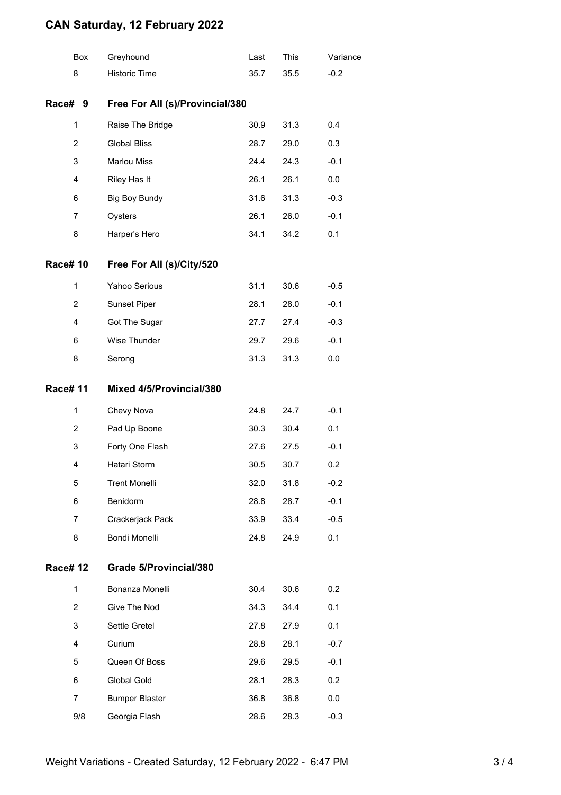## **CAN Saturday, 12 February 2022**

|                | Box            | Greyhound                       | Last | This | Variance |  |
|----------------|----------------|---------------------------------|------|------|----------|--|
|                | 8              | <b>Historic Time</b>            | 35.7 | 35.5 | $-0.2$   |  |
| Race# 9        |                | Free For All (s)/Provincial/380 |      |      |          |  |
|                | 1              | Raise The Bridge                | 30.9 | 31.3 | 0.4      |  |
|                | $\overline{2}$ | <b>Global Bliss</b>             | 28.7 | 29.0 | 0.3      |  |
|                | 3              | <b>Marlou Miss</b>              | 24.4 | 24.3 | $-0.1$   |  |
|                | 4              | Riley Has It                    | 26.1 | 26.1 | 0.0      |  |
|                | 6              | <b>Big Boy Bundy</b>            | 31.6 | 31.3 | $-0.3$   |  |
|                | 7              | Oysters                         | 26.1 | 26.0 | $-0.1$   |  |
|                | 8              | Harper's Hero                   | 34.1 | 34.2 | 0.1      |  |
| <b>Race#10</b> |                | Free For All (s)/City/520       |      |      |          |  |
|                | $\mathbf{1}$   | Yahoo Serious                   | 31.1 | 30.6 | $-0.5$   |  |
|                | 2              | Sunset Piper                    | 28.1 | 28.0 | $-0.1$   |  |
|                | 4              | Got The Sugar                   | 27.7 | 27.4 | $-0.3$   |  |
|                | 6              | Wise Thunder                    | 29.7 | 29.6 | $-0.1$   |  |
|                | 8              | Serong                          | 31.3 | 31.3 | 0.0      |  |
| <b>Race#11</b> |                | Mixed 4/5/Provincial/380        |      |      |          |  |
|                | $\mathbf{1}$   | Chevy Nova                      | 24.8 | 24.7 | $-0.1$   |  |
|                | 2              | Pad Up Boone                    | 30.3 | 30.4 | 0.1      |  |
|                | 3              | Forty One Flash                 | 27.6 | 27.5 | $-0.1$   |  |
|                | 4              | Hatari Storm                    | 30.5 | 30.7 | 0.2      |  |
|                | 5              | <b>Trent Monelli</b>            | 32.0 | 31.8 | $-0.2$   |  |
|                | 6              | Benidorm                        | 28.8 | 28.7 | $-0.1$   |  |
|                | 7              | Crackerjack Pack                | 33.9 | 33.4 | $-0.5$   |  |
|                | 8              | Bondi Monelli                   | 24.8 | 24.9 | 0.1      |  |
| <b>Race#12</b> |                | Grade 5/Provincial/380          |      |      |          |  |
|                | $\mathbf{1}$   | Bonanza Monelli                 | 30.4 | 30.6 | 0.2      |  |
|                | $\overline{2}$ | Give The Nod                    | 34.3 | 34.4 | 0.1      |  |
|                | 3              | Settle Gretel                   | 27.8 | 27.9 | 0.1      |  |
|                | 4              | Curium                          | 28.8 | 28.1 | $-0.7$   |  |
|                | 5              | Queen Of Boss                   | 29.6 | 29.5 | $-0.1$   |  |
|                | 6              | Global Gold                     | 28.1 | 28.3 | 0.2      |  |
|                | 7              | <b>Bumper Blaster</b>           | 36.8 | 36.8 | 0.0      |  |
|                | 9/8            | Georgia Flash                   | 28.6 | 28.3 | $-0.3$   |  |